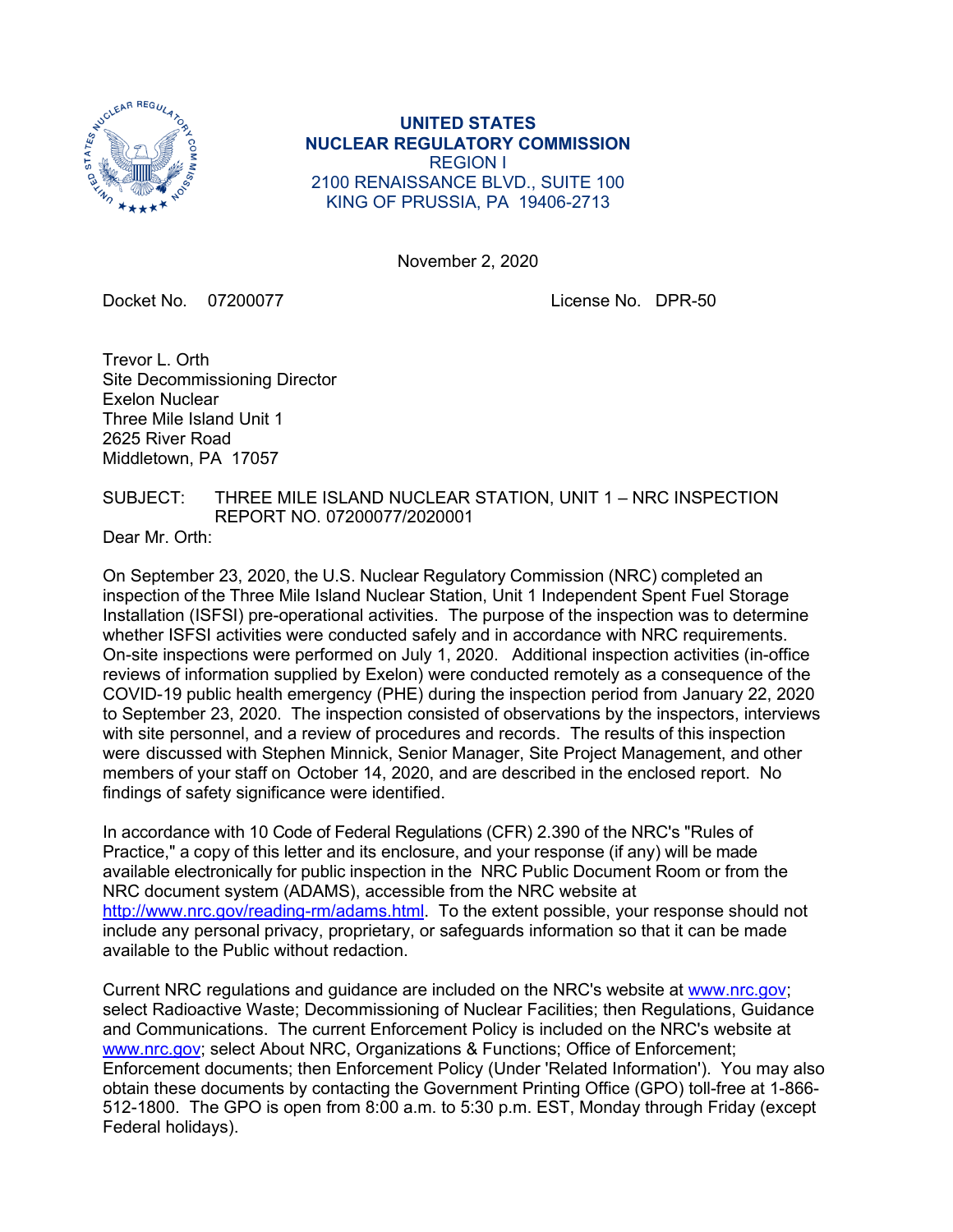

**UNITED STATES NUCLEAR REGULATORY COMMISSION** REGION I 2100 RENAISSANCE BLVD., SUITE 100 KING OF PRUSSIA, PA 19406-2713

November 2, 2020

Docket No. 07200077 License No. DPR-50

Trevor L. Orth Site Decommissioning Director Exelon Nuclear Three Mile Island Unit 1 2625 River Road Middletown, PA 17057

SUBJECT: THREE MILE ISLAND NUCLEAR STATION, UNIT 1 – NRC INSPECTION REPORT NO. 07200077/2020001

Dear Mr. Orth:

On September 23, 2020, the U.S. Nuclear Regulatory Commission (NRC) completed an inspection of the Three Mile Island Nuclear Station, Unit 1 Independent Spent Fuel Storage Installation (ISFSI) pre-operational activities. The purpose of the inspection was to determine whether ISFSI activities were conducted safely and in accordance with NRC requirements. On-site inspections were performed on July 1, 2020. Additional inspection activities (in-office reviews of information supplied by Exelon) were conducted remotely as a consequence of the COVID-19 public health emergency (PHE) during the inspection period from January 22, 2020 to September 23, 2020. The inspection consisted of observations by the inspectors, interviews with site personnel, and a review of procedures and records. The results of this inspection were discussed with Stephen Minnick, Senior Manager, Site Project Management, and other members of your staff on October 14, 2020, and are described in the enclosed report. No findings of safety significance were identified.

In accordance with 10 Code of Federal Regulations (CFR) 2.390 of the NRC's "Rules of Practice," a copy of this letter and its enclosure, and your response (if any) will be made available electronically for public inspection in the NRC Public Document Room or from the NRC document system (ADAMS), accessible from the NRC website at [http://www.nrc.gov/reading-rm/adams.html.](http://www.nrc.gov/reading-rm/adams.html) To the extent possible, your response should not include any personal privacy, proprietary, or safeguards information so that it can be made available to the Public without redaction.

Current NRC regulations and guidance are included on the NRC's website at [www.nrc.gov;](http://www.nrc.gov/) select Radioactive Waste; Decommissioning of Nuclear Facilities; then Regulations, Guidance and Communications. The current Enforcement Policy is included on the NRC's website at [www.nrc.gov;](http://www.nrc.gov/) select About NRC, Organizations & Functions; Office of Enforcement; Enforcement documents; then Enforcement Policy (Under 'Related Information'). You may also obtain these documents by contacting the Government Printing Office (GPO) toll-free at 1-866- 512-1800. The GPO is open from 8:00 a.m. to 5:30 p.m. EST, Monday through Friday (except Federal holidays).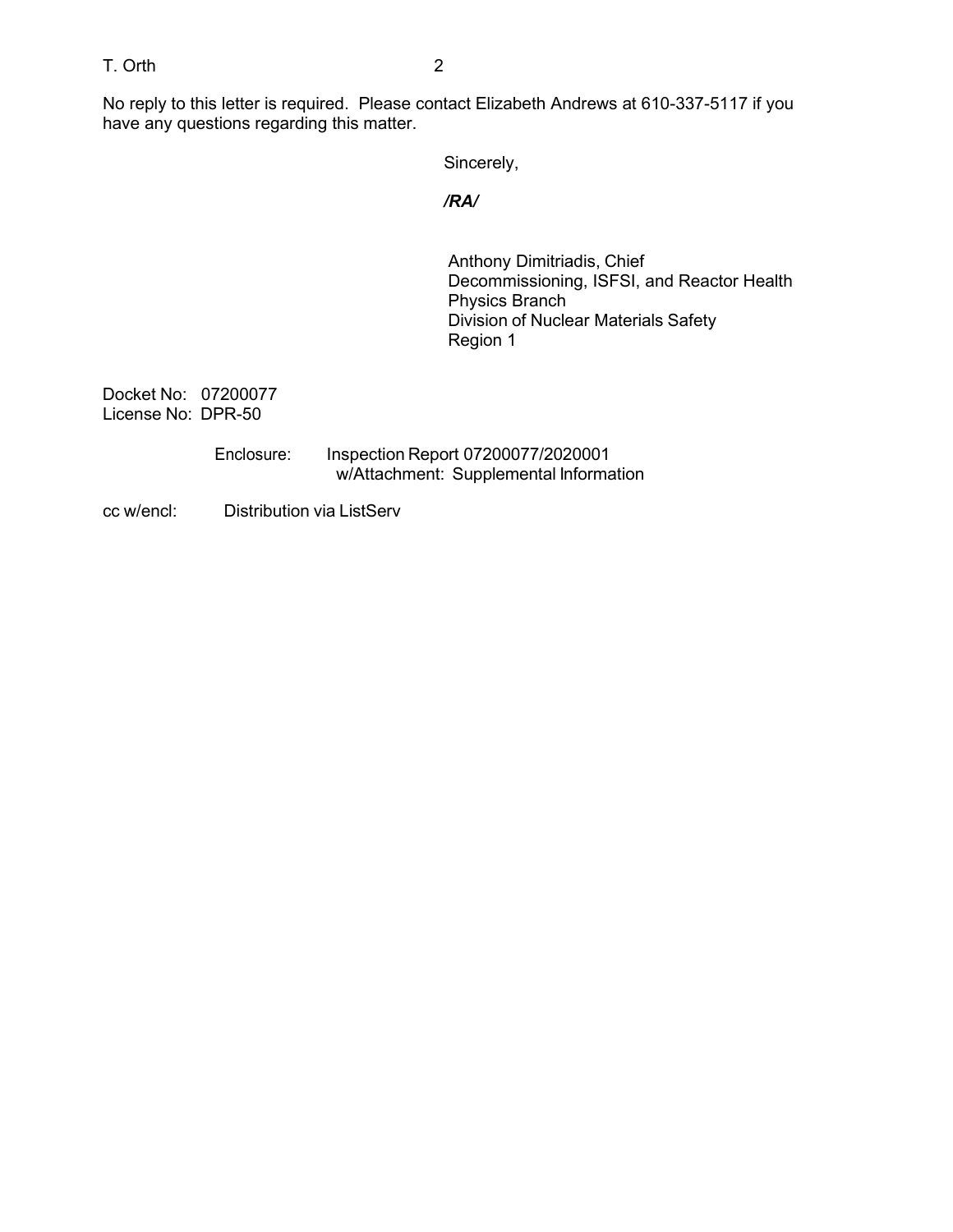# T. Orth 2

No reply to this letter is required. Please contact Elizabeth Andrews at 610-337-5117 if you have any questions regarding this matter.

Sincerely,

### */RA/*

Anthony Dimitriadis, Chief Decommissioning, ISFSI, and Reactor Health Physics Branch Division of Nuclear Materials Safety Region 1

Docket No: 07200077 License No: DPR-50

> Enclosure: Inspection Report 07200077/2020001 w/Attachment: Supplemental Information

cc w/encl: Distribution via ListServ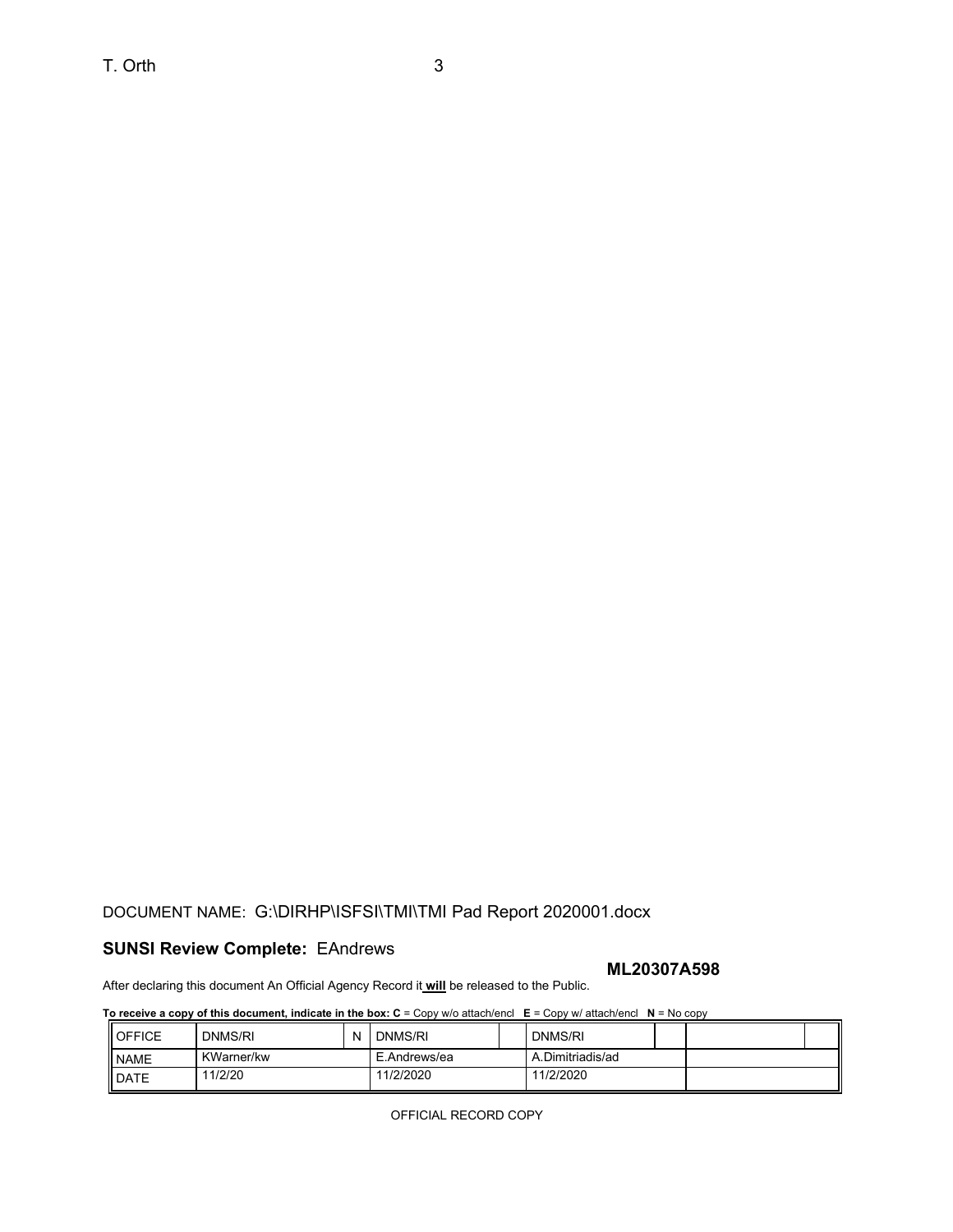# DOCUMENT NAME: G:\DIRHP\ISFSI\TMI\TMI Pad Report 2020001.docx

## **SUNSI Review Complete:** EAndrews

#### **ML20307A598**

After declaring this document An Official Agency Record it **will** be released to the Public.

**To receive a copy of this document, indicate in the box: C** = Copy w/o attach/encl **E** = Copy w/ attach/encl **N** = No copy

| <b>I</b> OFFICE | DNMS/RI           | N | DNMS/RI      |  | DNMS/RI          |  |
|-----------------|-------------------|---|--------------|--|------------------|--|
| <b>NAME</b>     | <b>KWarner/kw</b> |   | E.Andrews/ea |  | A.Dimitriadis/ad |  |
| <b>I</b> DATE   | 1/2/20            |   | 11/2/2020    |  | 11/2/2020        |  |

OFFICIAL RECORD COPY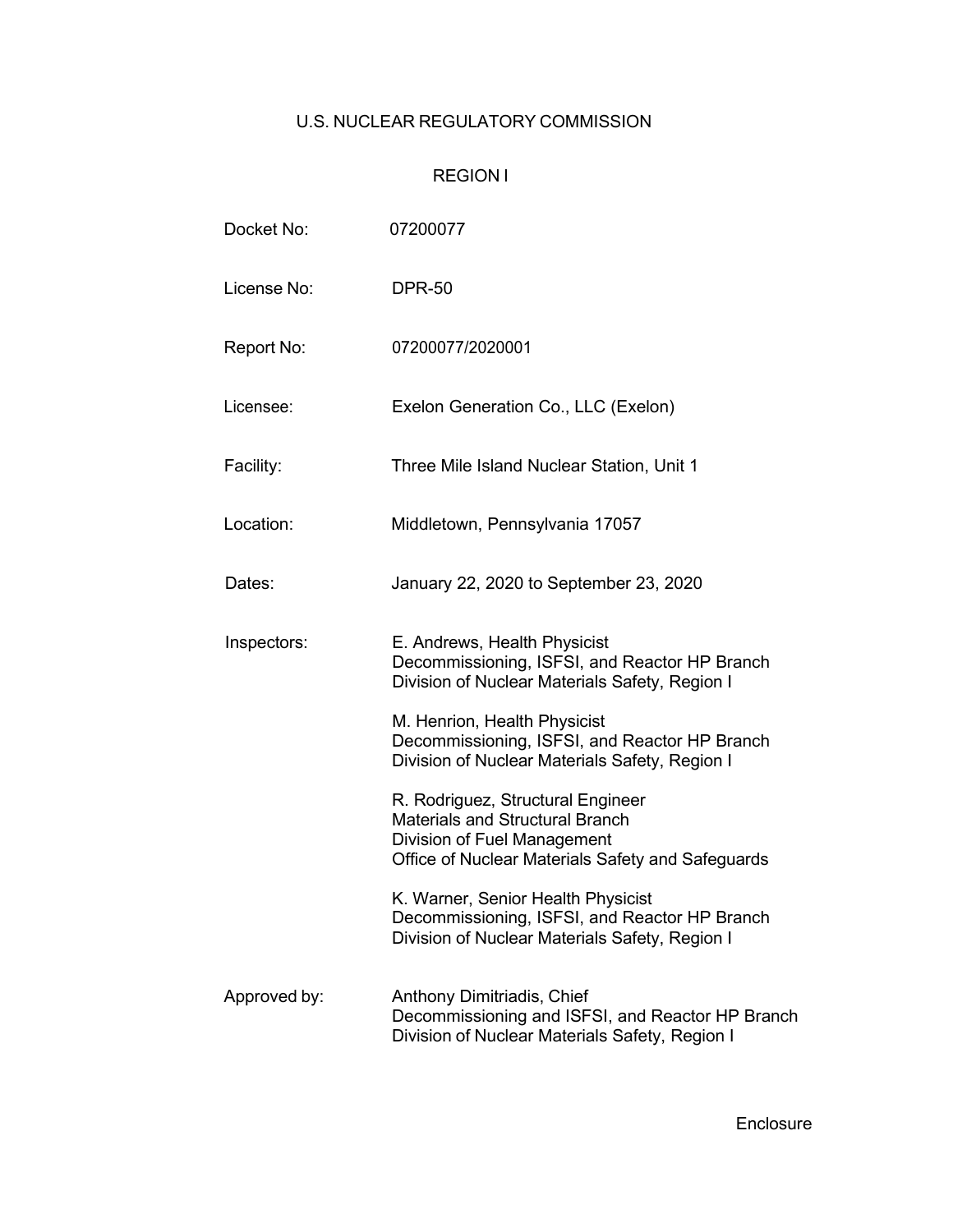# U.S. NUCLEAR REGULATORY COMMISSION

# REGION I

| Docket No:   | 07200077                                                                                                                                                        |
|--------------|-----------------------------------------------------------------------------------------------------------------------------------------------------------------|
| License No:  | <b>DPR-50</b>                                                                                                                                                   |
| Report No:   | 07200077/2020001                                                                                                                                                |
| Licensee:    | Exelon Generation Co., LLC (Exelon)                                                                                                                             |
| Facility:    | Three Mile Island Nuclear Station, Unit 1                                                                                                                       |
| Location:    | Middletown, Pennsylvania 17057                                                                                                                                  |
| Dates:       | January 22, 2020 to September 23, 2020                                                                                                                          |
| Inspectors:  | E. Andrews, Health Physicist<br>Decommissioning, ISFSI, and Reactor HP Branch<br>Division of Nuclear Materials Safety, Region I                                 |
|              | M. Henrion, Health Physicist<br>Decommissioning, ISFSI, and Reactor HP Branch<br>Division of Nuclear Materials Safety, Region I                                 |
|              | R. Rodriguez, Structural Engineer<br><b>Materials and Structural Branch</b><br>Division of Fuel Management<br>Office of Nuclear Materials Safety and Safeguards |
|              | K. Warner, Senior Health Physicist<br>Decommissioning, ISFSI, and Reactor HP Branch<br>Division of Nuclear Materials Safety, Region I                           |
| Approved by: | Anthony Dimitriadis, Chief<br>Decommissioning and ISFSI, and Reactor HP Branch<br>Division of Nuclear Materials Safety, Region I                                |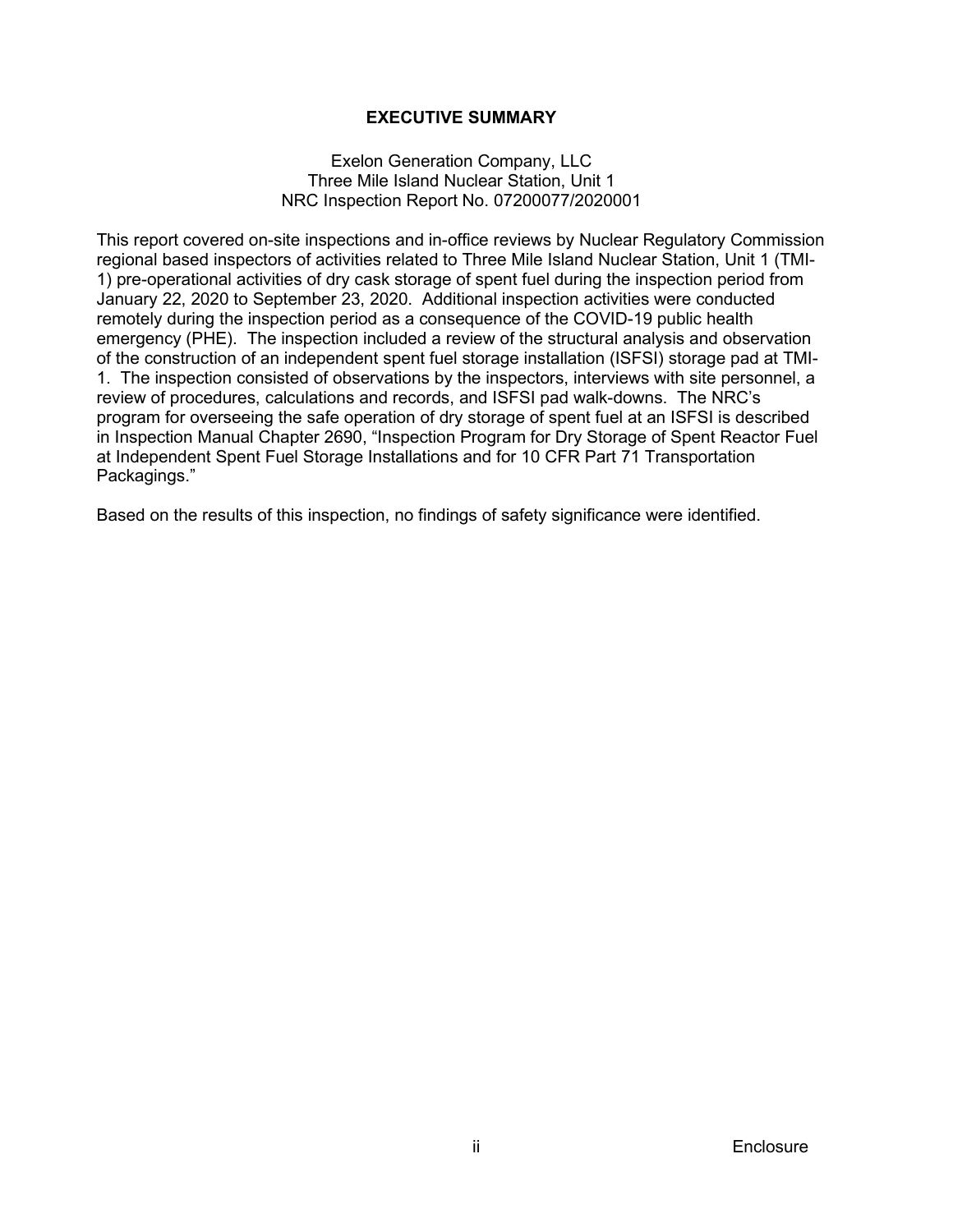## **EXECUTIVE SUMMARY**

#### Exelon Generation Company, LLC Three Mile Island Nuclear Station, Unit 1 NRC Inspection Report No. 07200077/2020001

This report covered on-site inspections and in-office reviews by Nuclear Regulatory Commission regional based inspectors of activities related to Three Mile Island Nuclear Station, Unit 1 (TMI-1) pre-operational activities of dry cask storage of spent fuel during the inspection period from January 22, 2020 to September 23, 2020. Additional inspection activities were conducted remotely during the inspection period as a consequence of the COVID-19 public health emergency (PHE). The inspection included a review of the structural analysis and observation of the construction of an independent spent fuel storage installation (ISFSI) storage pad at TMI-1. The inspection consisted of observations by the inspectors, interviews with site personnel, a review of procedures, calculations and records, and ISFSI pad walk-downs. The NRC's program for overseeing the safe operation of dry storage of spent fuel at an ISFSI is described in Inspection Manual Chapter 2690, "Inspection Program for Dry Storage of Spent Reactor Fuel at Independent Spent Fuel Storage Installations and for 10 CFR Part 71 Transportation Packagings."

Based on the results of this inspection, no findings of safety significance were identified.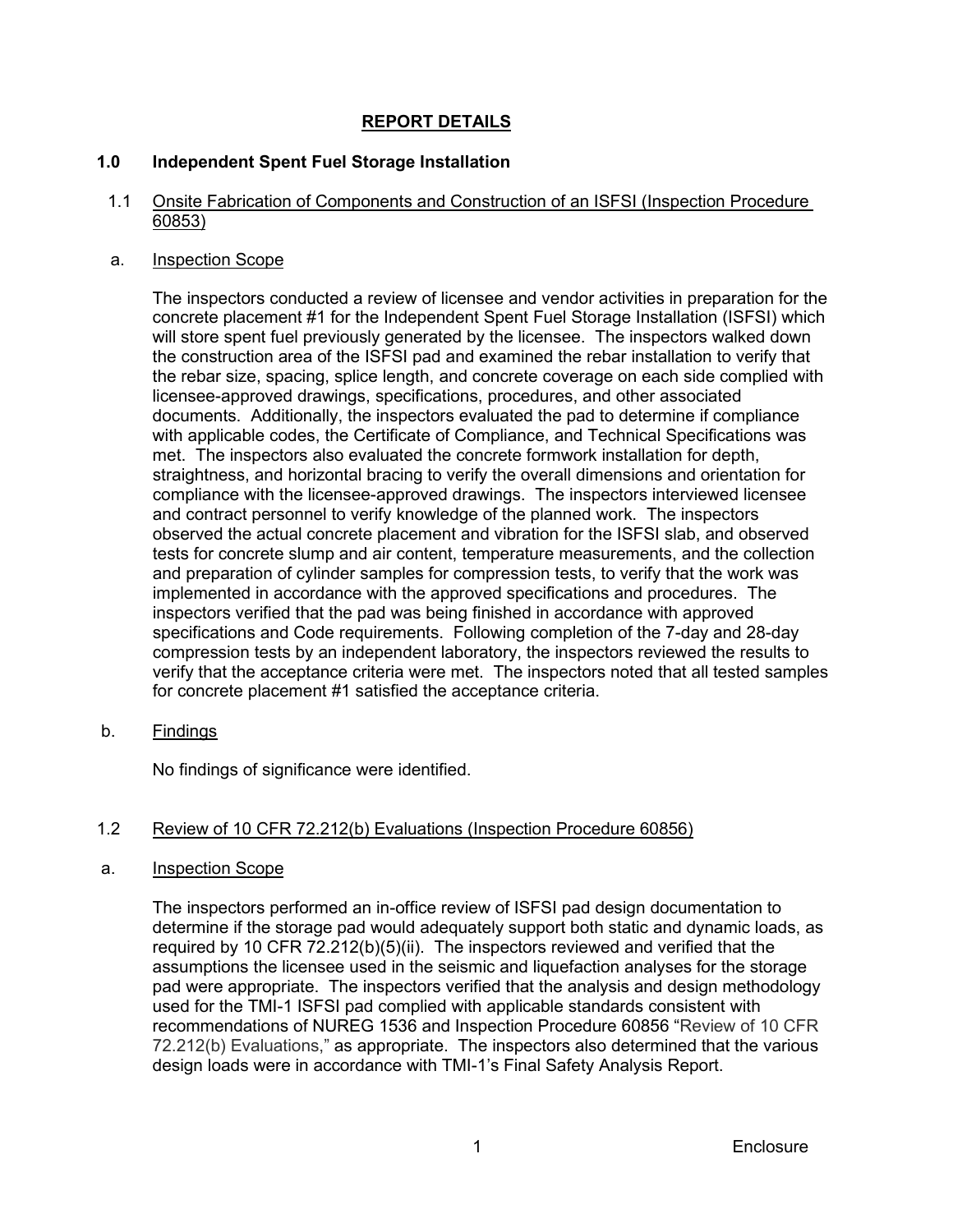# **REPORT DETAILS**

## **1.0 Independent Spent Fuel Storage Installation**

### 1.1 Onsite Fabrication of Components and Construction of an ISFSI (Inspection Procedure 60853)

#### a. Inspection Scope

The inspectors conducted a review of licensee and vendor activities in preparation for the concrete placement #1 for the Independent Spent Fuel Storage Installation (ISFSI) which will store spent fuel previously generated by the licensee. The inspectors walked down the construction area of the ISFSI pad and examined the rebar installation to verify that the rebar size, spacing, splice length, and concrete coverage on each side complied with licensee-approved drawings, specifications, procedures, and other associated documents. Additionally, the inspectors evaluated the pad to determine if compliance with applicable codes, the Certificate of Compliance, and Technical Specifications was met. The inspectors also evaluated the concrete formwork installation for depth, straightness, and horizontal bracing to verify the overall dimensions and orientation for compliance with the licensee-approved drawings. The inspectors interviewed licensee and contract personnel to verify knowledge of the planned work. The inspectors observed the actual concrete placement and vibration for the ISFSI slab, and observed tests for concrete slump and air content, temperature measurements, and the collection and preparation of cylinder samples for compression tests, to verify that the work was implemented in accordance with the approved specifications and procedures. The inspectors verified that the pad was being finished in accordance with approved specifications and Code requirements. Following completion of the 7-day and 28-day compression tests by an independent laboratory, the inspectors reviewed the results to verify that the acceptance criteria were met. The inspectors noted that all tested samples for concrete placement #1 satisfied the acceptance criteria.

b. Findings

No findings of significance were identified.

# 1.2 Review of 10 CFR 72.212(b) Evaluations (Inspection Procedure 60856)

#### a. Inspection Scope

The inspectors performed an in-office review of ISFSI pad design documentation to determine if the storage pad would adequately support both static and dynamic loads, as required by 10 CFR 72.212(b)(5)(ii). The inspectors reviewed and verified that the assumptions the licensee used in the seismic and liquefaction analyses for the storage pad were appropriate. The inspectors verified that the analysis and design methodology used for the TMI-1 ISFSI pad complied with applicable standards consistent with recommendations of NUREG 1536 and Inspection Procedure 60856 "Review of 10 CFR 72.212(b) Evaluations," as appropriate. The inspectors also determined that the various design loads were in accordance with TMI-1's Final Safety Analysis Report.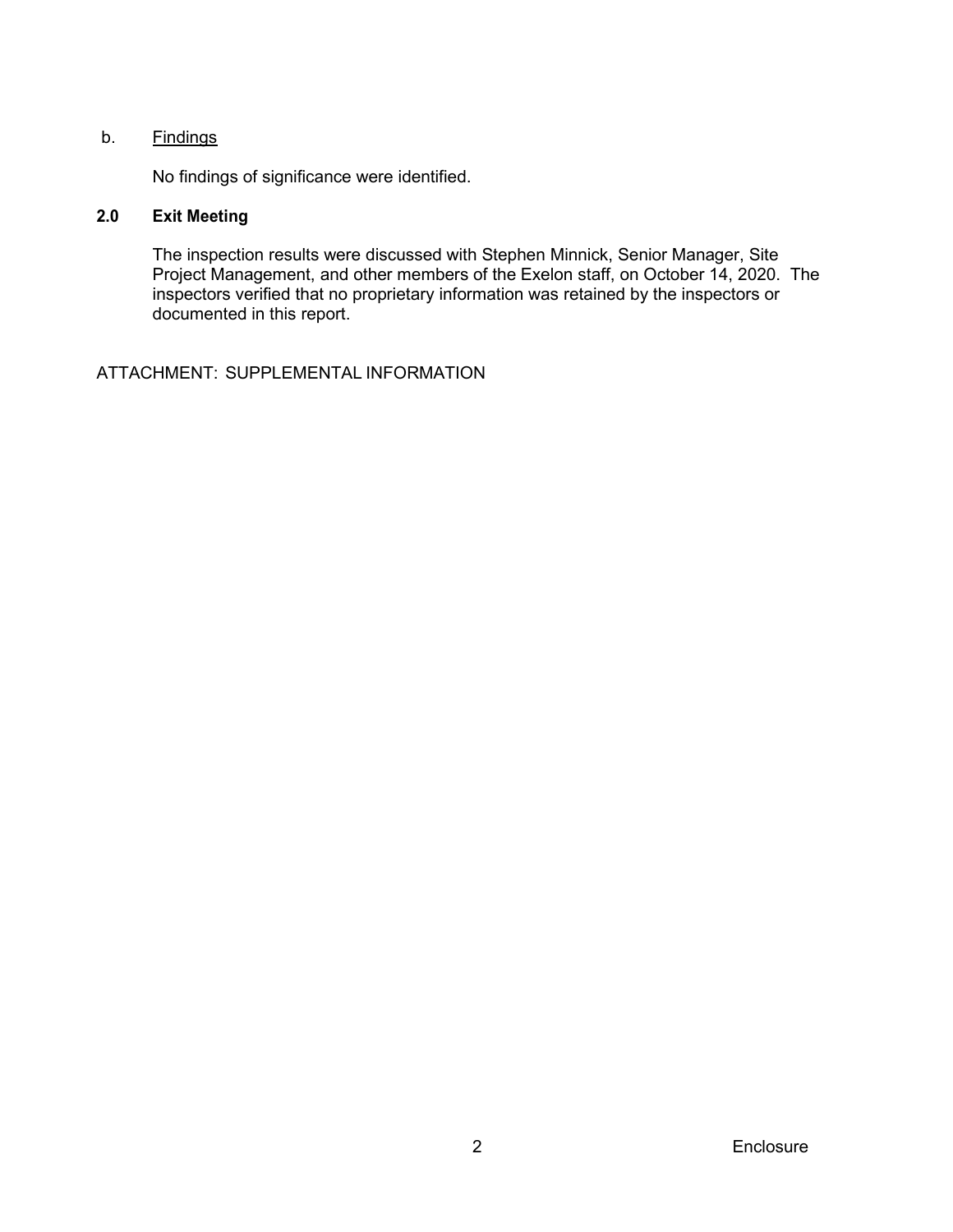## b. Findings

No findings of significance were identified.

# **2.0 Exit Meeting**

The inspection results were discussed with Stephen Minnick, Senior Manager, Site Project Management, and other members of the Exelon staff, on October 14, 2020. The inspectors verified that no proprietary information was retained by the inspectors or documented in this report.

ATTACHMENT: SUPPLEMENTAL INFORMATION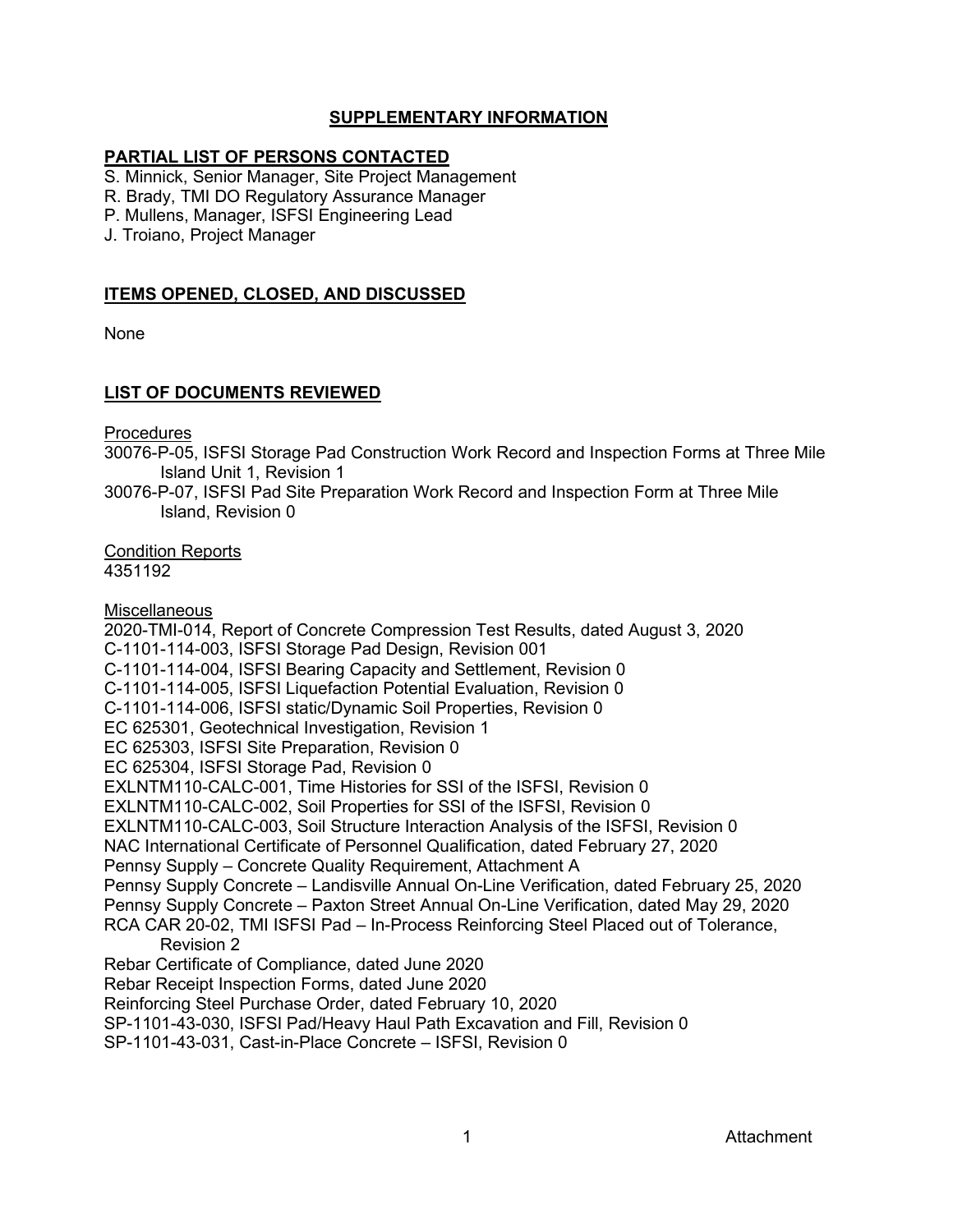# **SUPPLEMENTARY INFORMATION**

### **PARTIAL LIST OF PERSONS CONTACTED**

S. Minnick, Senior Manager, Site Project Management

R. Brady, TMI DO Regulatory Assurance Manager

P. Mullens, Manager, ISFSI Engineering Lead

J. Troiano, Project Manager

# **ITEMS OPENED, CLOSED, AND DISCUSSED**

None

## **LIST OF DOCUMENTS REVIEWED**

**Procedures** 

30076-P-05, ISFSI Storage Pad Construction Work Record and Inspection Forms at Three Mile Island Unit 1, Revision 1

30076-P-07, ISFSI Pad Site Preparation Work Record and Inspection Form at Three Mile Island, Revision 0

Condition Reports 4351192

**Miscellaneous** 2020-TMI-014, Report of Concrete Compression Test Results, dated August 3, 2020 C-1101-114-003, ISFSI Storage Pad Design, Revision 001 C-1101-114-004, ISFSI Bearing Capacity and Settlement, Revision 0 C-1101-114-005, ISFSI Liquefaction Potential Evaluation, Revision 0 C-1101-114-006, ISFSI static/Dynamic Soil Properties, Revision 0 EC 625301, Geotechnical Investigation, Revision 1 EC 625303, ISFSI Site Preparation, Revision 0 EC 625304, ISFSI Storage Pad, Revision 0 EXLNTM110-CALC-001, Time Histories for SSI of the ISFSI, Revision 0 EXLNTM110-CALC-002, Soil Properties for SSI of the ISFSI, Revision 0 EXLNTM110-CALC-003, Soil Structure Interaction Analysis of the ISFSI, Revision 0 NAC International Certificate of Personnel Qualification, dated February 27, 2020 Pennsy Supply – Concrete Quality Requirement, Attachment A Pennsy Supply Concrete – Landisville Annual On-Line Verification, dated February 25, 2020 Pennsy Supply Concrete – Paxton Street Annual On-Line Verification, dated May 29, 2020 RCA CAR 20-02, TMI ISFSI Pad – In-Process Reinforcing Steel Placed out of Tolerance, Revision 2 Rebar Certificate of Compliance, dated June 2020 Rebar Receipt Inspection Forms, dated June 2020 Reinforcing Steel Purchase Order, dated February 10, 2020 SP-1101-43-030, ISFSI Pad/Heavy Haul Path Excavation and Fill, Revision 0 SP-1101-43-031, Cast-in-Place Concrete – ISFSI, Revision 0